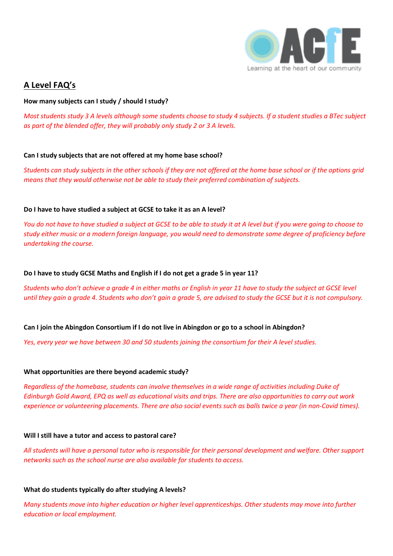

# **A Level FAQ's**

### **How many subjects can I study / should I study?**

*Most students study 3 A levels although some students choose to study 4 subjects. If a student studies a BTec subject as part of the blended offer, they will probably only study 2 or 3 A levels.*

### **Can I study subjects that are not offered at my home base school?**

*Students can study subjects in the other schools if they are not offered at the home base school or if the options grid means that they would otherwise not be able to study their preferred combination of subjects.*

# **Do I have to have studied a subject at GCSE to take it as an A level?**

*You do not have to have studied a subject at GCSE to be able to study it at A level but if you were going to choose to study either music or a modern foreign language, you would need to demonstrate some degree of proficiency before undertaking the course.*

# **Do I have to study GCSE Maths and English if I do not get a grade 5 in year 11?**

*Students who don't achieve a grade 4 in either maths or English in year 11 have to study the subject at GCSE level until they gain a grade 4. Students who don't gain a grade 5, are advised to study the GCSE but it is not compulsory.*

### **Can I join the Abingdon Consortium if I do not live in Abingdon or go to a school in Abingdon?**

*Yes, every year we have between 30 and 50 students joining the consortium for their A level studies.*

### **What opportunities are there beyond academic study?**

*Regardless of the homebase, students can involve themselves in a wide range of activities including Duke of Edinburgh Gold Award, EPQ as well as educational visits and trips. There are also opportunities to carry out work experience or volunteering placements. There are also social events such as balls twice a year (in non-Covid times).*

### **Will I still have a tutor and access to pastoral care?**

*All students will have a personal tutor who is responsible for their personal development and welfare. Other support networks such as the school nurse are also available for students to access.*

### **What do students typically do after studying A levels?**

*Many students move into higher education or higher level apprenticeships. Other students may move into further education or local employment.*